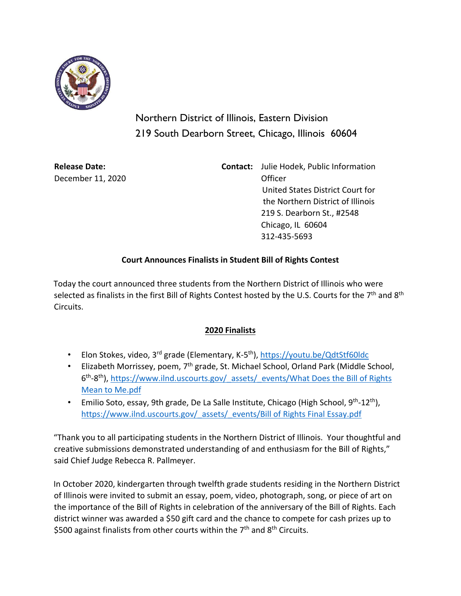

Northern District of Illinois, Eastern Division 219 South Dearborn Street, Chicago, Illinois 60604

December 11, 2020 Officer

**Release Date: Contact:** Julie Hodek, Public Information United States District Court for the Northern District of Illinois 219 S. Dearborn St., #2548 Chicago, IL 60604 312-435-5693

## **Court Announces Finalists in Student Bill of Rights Contest**

Today the court announced three students from the Northern District of Illinois who were selected as finalists in the first Bill of Rights Contest hosted by the U.S. Courts for the 7<sup>th</sup> and 8<sup>th</sup> Circuits.

## **2020 Finalists**

- Elon Stokes, video, 3<sup>rd</sup> grade (Elementary, K-5<sup>th</sup>),<https://youtu.be/QdtStf60ldc>
- Elizabeth Morrissey, poem, 7<sup>th</sup> grade, St. Michael School, Orland Park (Middle School, 6<sup>th</sup>-8<sup>th</sup>), [https://www.ilnd.uscourts.gov/\\_assets/\\_events/What Does the Bill of Rights](https://www.ilnd.uscourts.gov/_assets/_events/What%20Does%20the%20Bill%20of%20Rights%20Mean%20to%20Me.pdf) [Mean to Me.pdf](https://www.ilnd.uscourts.gov/_assets/_events/What%20Does%20the%20Bill%20of%20Rights%20Mean%20to%20Me.pdf)
- Emilio Soto, essay, 9th grade, De La Salle Institute, Chicago (High School, 9<sup>th</sup>-12<sup>th</sup>), [https://www.ilnd.uscourts.gov/\\_assets/\\_events/Bill of Rights Final Essay.pdf](https://www.ilnd.uscourts.gov/_assets/_events/Bill%20of%20Rights%20Final%20Essay.pdf)

"Thank you to all participating students in the Northern District of Illinois. Your thoughtful and creative submissions demonstrated understanding of and enthusiasm for the Bill of Rights," said Chief Judge Rebecca R. Pallmeyer.

In October 2020, kindergarten through twelfth grade students residing in the Northern District of Illinois were invited to submit an essay, poem, video, photograph, song, or piece of art on the importance of the Bill of Rights in celebration of the anniversary of the Bill of Rights. Each district winner was awarded a \$50 gift card and the chance to compete for cash prizes up to \$500 against finalists from other courts within the  $7<sup>th</sup>$  and  $8<sup>th</sup>$  Circuits.